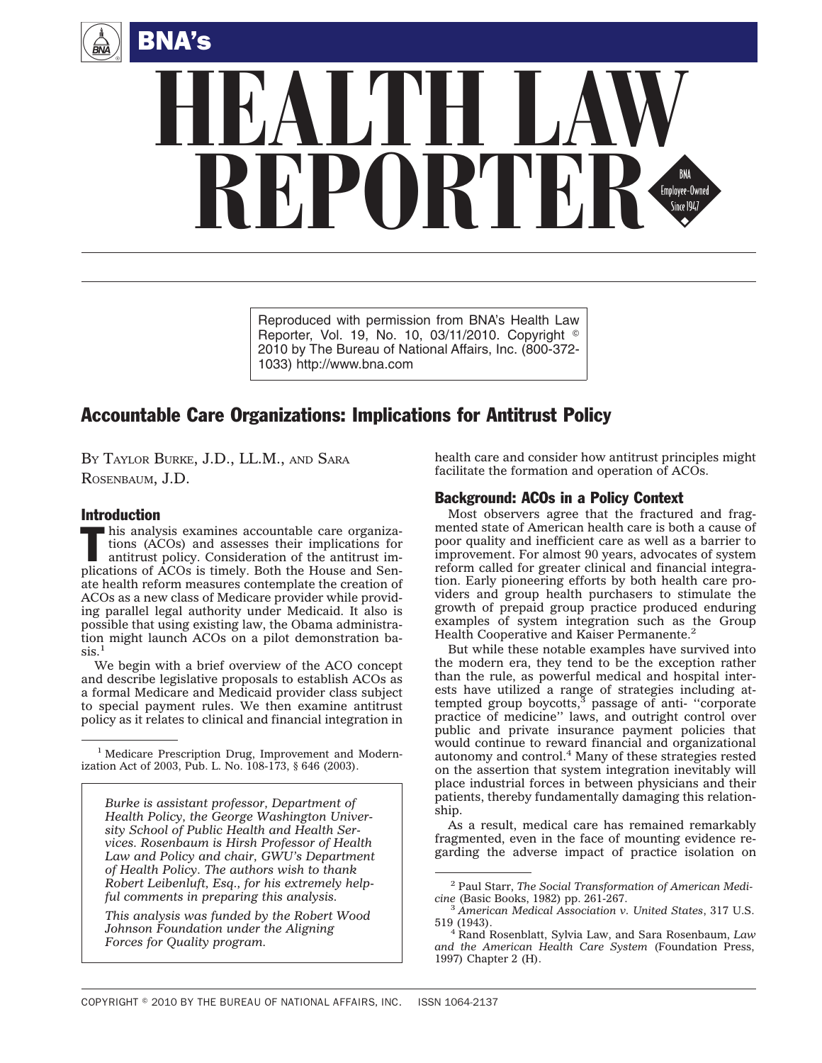



Reproduced with permission from BNA's Health Law Reporter, Vol. 19, No. 10, 03/11/2010. Copyright  $\degree$ 2010 by The Bureau of National Affairs, Inc. (800-372- 1033) http://www.bna.com

# Accountable Care Organizations: Implications for Antitrust Policy

BY TAYLOR BURKE, J.D., LL.M., AND SARA ROSENBAUM, J.D.

#### Introduction

This analysis examines accountable care organizations (ACOs) and assesses their implications for antitrust policy. Consideration of the antitrust imtions (ACOs) and assesses their implications for plications of ACOs is timely. Both the House and Senate health reform measures contemplate the creation of ACOs as a new class of Medicare provider while providing parallel legal authority under Medicaid. It also is possible that using existing law, the Obama administration might launch ACOs on a pilot demonstration ba- $\sin^{-1}$ 

We begin with a brief overview of the ACO concept and describe legislative proposals to establish ACOs as a formal Medicare and Medicaid provider class subject to special payment rules. We then examine antitrust policy as it relates to clinical and financial integration in

<sup>1</sup> Medicare Prescription Drug, Improvement and Modernization Act of 2003, Pub. L. No. 108-173, § 646 (2003).

*Burke is assistant professor, Department of Health Policy, the George Washington University School of Public Health and Health Services. Rosenbaum is Hirsh Professor of Health Law and Policy and chair, GWU's Department of Health Policy. The authors wish to thank Robert Leibenluft, Esq., for his extremely helpful comments in preparing this analysis.*

*This analysis was funded by the Robert Wood Johnson Foundation under the Aligning Forces for Quality program.*

health care and consider how antitrust principles might facilitate the formation and operation of ACOs.

## Background: ACOs in a Policy Context

Most observers agree that the fractured and fragmented state of American health care is both a cause of poor quality and inefficient care as well as a barrier to improvement. For almost 90 years, advocates of system reform called for greater clinical and financial integration. Early pioneering efforts by both health care providers and group health purchasers to stimulate the growth of prepaid group practice produced enduring examples of system integration such as the Group Health Cooperative and Kaiser Permanente.<sup>2</sup>

But while these notable examples have survived into the modern era, they tend to be the exception rather than the rule, as powerful medical and hospital interests have utilized a range of strategies including attempted group boycotts, $3$  passage of anti- "corporate" practice of medicine'' laws, and outright control over public and private insurance payment policies that would continue to reward financial and organizational autonomy and control.4 Many of these strategies rested on the assertion that system integration inevitably will place industrial forces in between physicians and their patients, thereby fundamentally damaging this relationship.

As a result, medical care has remained remarkably fragmented, even in the face of mounting evidence regarding the adverse impact of practice isolation on

<sup>2</sup> Paul Starr, *The Social Transformation of American Medi-*

*cine* (Basic Books, 1982) pp. 261-267. <sup>3</sup> *American Medical Association v. United States*, 317 U.S.

<sup>519 (1943).</sup> <sup>4</sup> Rand Rosenblatt, Sylvia Law, and Sara Rosenbaum, *Law and the American Health Care System* (Foundation Press, 1997) Chapter 2 (H).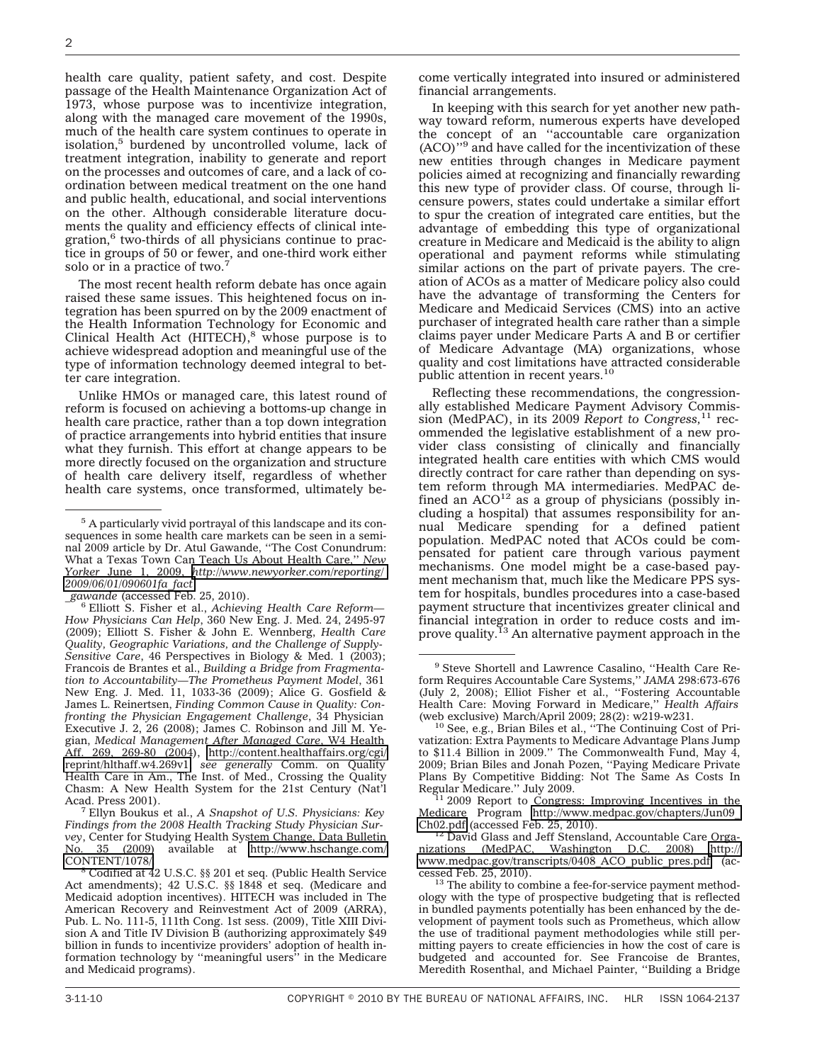health care quality, patient safety, and cost. Despite passage of the Health Maintenance Organization Act of 1973, whose purpose was to incentivize integration, along with the managed care movement of the 1990s, much of the health care system continues to operate in isolation,<sup>5</sup> burdened by uncontrolled volume, lack of treatment integration, inability to generate and report on the processes and outcomes of care, and a lack of coordination between medical treatment on the one hand and public health, educational, and social interventions on the other. Although considerable literature documents the quality and efficiency effects of clinical integration,<sup>6</sup> two-thirds of all physicians continue to practice in groups of 50 or fewer, and one-third work either solo or in a practice of two.<sup>7</sup>

The most recent health reform debate has once again raised these same issues. This heightened focus on integration has been spurred on by the 2009 enactment of the Health Information Technology for Economic and Clinical Health Act (HITECH), $8$  whose purpose is to achieve widespread adoption and meaningful use of the type of information technology deemed integral to better care integration.

Unlike HMOs or managed care, this latest round of reform is focused on achieving a bottoms-up change in health care practice, rather than a top down integration of practice arrangements into hybrid entities that insure what they furnish. This effort at change appears to be more directly focused on the organization and structure of health care delivery itself, regardless of whether health care systems, once transformed, ultimately be-

<sup>6</sup> Elliott S. Fisher et al., *Achieving Health Care Reform*— *How Physicians Can Help*, 360 New Eng. J. Med. 24, 2495-97 (2009); Elliott S. Fisher & John E. Wennberg, *Health Care Quality, Geographic Variations, and the Challenge of Supply-Sensitive Care*, 46 Perspectives in Biology & Med. 1 (2003); Francois de Brantes et al., *Building a Bridge from Fragmentation to Accountability—The Prometheus Payment Model*, 361 New Eng. J. Med. 11, 1033-36 (2009); Alice G. Gosfield & James L. Reinertsen, *Finding Common Cause in Quality: Confronting the Physician Engagement Challenge*, 34 Physician Executive J. 2, 26 (2008); James C. Robinson and Jill M. Yegian, *Medical Management After Managed Care*, W4 Health Aff. 269, 269-80 (2004), [http://content.healthaffairs.org/cgi/](http://content.healthaffairs.org/cgi/reprint/hlthaff.w4.269v1) [reprint/hlthaff.w4.269v1;](http://content.healthaffairs.org/cgi/reprint/hlthaff.w4.269v1) *see generally* Comm. on Quality Health Care in Am., The Inst. of Med., Crossing the Quality Chasm: A New Health System for the 21st Century (Nat'l

<sup>7</sup> Ellyn Boukus et al., *A Snapshot of U.S. Physicians: Key Findings from the 2008 Health Tracking Study Physician Survey*, Center for Studying Health System Change, Data Bulletin<br>No. 35 (2009) available at http://www.hschange.com/ No. 35 (2009) available at [http://www.hschange.com/](http://www.hschange.com/CONTENT/1078/)

<sup>8</sup> Codified at 42 U.S.C. §§ 201 et seq. (Public Health Service Act amendments); 42 U.S.C. §§ 1848 et seq. (Medicare and Medicaid adoption incentives). HITECH was included in The American Recovery and Reinvestment Act of 2009 (ARRA), Pub. L. No. 111-5, 111th Cong. 1st sess. (2009), Title XIII Division A and Title IV Division B (authorizing approximately \$49 billion in funds to incentivize providers' adoption of health information technology by ''meaningful users'' in the Medicare and Medicaid programs).

come vertically integrated into insured or administered financial arrangements.

In keeping with this search for yet another new pathway toward reform, numerous experts have developed the concept of an ''accountable care organization (ACO)''9 and have called for the incentivization of these new entities through changes in Medicare payment policies aimed at recognizing and financially rewarding this new type of provider class. Of course, through licensure powers, states could undertake a similar effort to spur the creation of integrated care entities, but the advantage of embedding this type of organizational creature in Medicare and Medicaid is the ability to align operational and payment reforms while stimulating similar actions on the part of private payers. The creation of ACOs as a matter of Medicare policy also could have the advantage of transforming the Centers for Medicare and Medicaid Services (CMS) into an active purchaser of integrated health care rather than a simple claims payer under Medicare Parts A and B or certifier of Medicare Advantage (MA) organizations, whose quality and cost limitations have attracted considerable<br>public attention in recent years.<sup>10</sup>

Reflecting these recommendations, the congressionally established Medicare Payment Advisory Commission (MedPAC), in its 2009 *Report to Congress,*<sup>11</sup> recommended the legislative establishment of a new provider class consisting of clinically and financially integrated health care entities with which CMS would directly contract for care rather than depending on system reform through MA intermediaries. MedPAC defined an  $ACO<sup>12</sup>$  as a group of physicians (possibly including a hospital) that assumes responsibility for annual Medicare spending for a defined patient population. MedPAC noted that ACOs could be compensated for patient care through various payment mechanisms. One model might be a case-based payment mechanism that, much like the Medicare PPS system for hospitals, bundles procedures into a case-based payment structure that incentivizes greater clinical and financial integration in order to reduce costs and improve quality.<sup>13</sup> An alternative payment approach in the

<sup>5</sup> A particularly vivid portrayal of this landscape and its consequences in some health care markets can be seen in a seminal 2009 article by Dr. Atul Gawande, ''The Cost Conundrum: What a Texas Town Can Teach Us About Health Care,'' *New Yorker* June 1, 2009, *[http://www.newyorker.com/reporting/](http://www.newyorker.com/reporting/2009/06/01/090601fa_fact) [2009/06/01/090601fa\\_fact](http://www.newyorker.com/reporting/2009/06/01/090601fa_fact)*

<sup>9</sup> Steve Shortell and Lawrence Casalino, ''Health Care Reform Requires Accountable Care Systems,'' *JAMA* 298:673-676 (July 2, 2008); Elliot Fisher et al., ''Fostering Accountable Health Care: Moving Forward in Medicare,'' *Health Affairs* (web exclusive) March/April 2009; 28(2): w219-w231.  $10^{10}$  See, e.g., Brian Biles et al., "The Continuing Cost of Pri-

vatization: Extra Payments to Medicare Advantage Plans Jump to \$11.4 Billion in 2009.'' The Commonwealth Fund, May 4, 2009; Brian Biles and Jonah Pozen, ''Paying Medicare Private Plans By Competitive Bidding: Not The Same As Costs In Regular Medicare." July 2009.

Regular Medicare.'' July 2009.<br><sup>11</sup> 2009 Report to Congress: Improving Incentives in the Medicare Program [http://www.medpac.gov/chapters/Jun09\\_](http://www.medpac.gov/chapters/Jun09_Ch02.pdf)

[Ch02.pdf](http://www.medpac.gov/chapters/Jun09_Ch02.pdf) (accessed Feb. 25, 2010).<br><sup>12</sup> David Glass and Jeff Stensland, Accountable Care Orga-<br>nizations (MedPAC, Washington D.C. 2008) http:// Washington D.C. [www.medpac.gov/transcripts/0408\\_ACO\\_public\\_pres.pdf](http://www.medpac.gov/transcripts/0408_ACO_public_pres.pdf) (ac-<br>cessed Feb. 25, 2010).

 $13$  The ability to combine a fee-for-service payment methodology with the type of prospective budgeting that is reflected in bundled payments potentially has been enhanced by the development of payment tools such as Prometheus, which allow the use of traditional payment methodologies while still permitting payers to create efficiencies in how the cost of care is budgeted and accounted for. See Francoise de Brantes, Meredith Rosenthal, and Michael Painter, ''Building a Bridge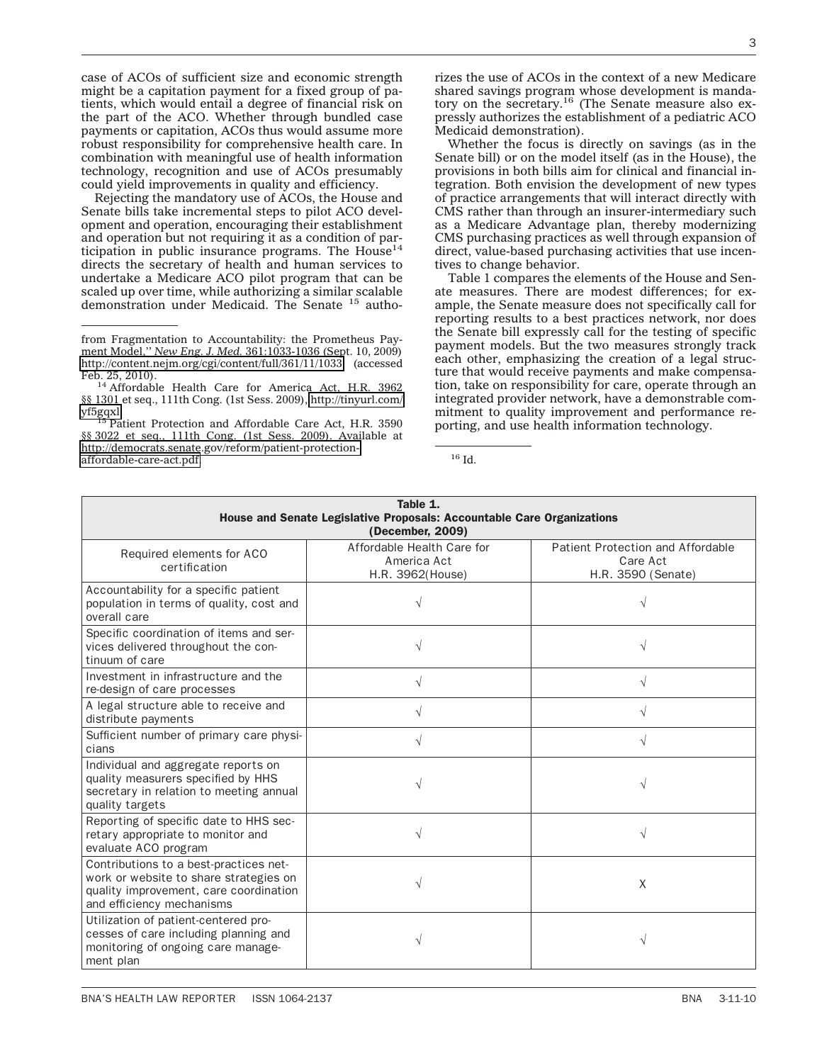case of ACOs of sufficient size and economic strength might be a capitation payment for a fixed group of patients, which would entail a degree of financial risk on the part of the ACO. Whether through bundled case payments or capitation, ACOs thus would assume more robust responsibility for comprehensive health care. In combination with meaningful use of health information technology, recognition and use of ACOs presumably could yield improvements in quality and efficiency.

Rejecting the mandatory use of ACOs, the House and Senate bills take incremental steps to pilot ACO development and operation, encouraging their establishment and operation but not requiring it as a condition of participation in public insurance programs. The  $House<sup>14</sup>$ directs the secretary of health and human services to undertake a Medicare ACO pilot program that can be scaled up over time, while authorizing a similar scalable demonstration under Medicaid. The Senate <sup>15</sup> autho-

Patient Protection and Affordable Care Act, H.R. 3590 §§ 3022 et seq., 111th Cong. (1st Sess. 2009). Available at [http://democrats.senate.gov/reform/patient-protection](http://democrats.senate.gov/reform/patient-protection-affordable-care-act.pdf)[affordable-care-act.pdf.](http://democrats.senate.gov/reform/patient-protection-affordable-care-act.pdf) 16 Id.

rizes the use of ACOs in the context of a new Medicare shared savings program whose development is mandatory on the secretary.<sup>16</sup> (The Senate measure also expressly authorizes the establishment of a pediatric ACO Medicaid demonstration).

Whether the focus is directly on savings (as in the Senate bill) or on the model itself (as in the House), the provisions in both bills aim for clinical and financial integration. Both envision the development of new types of practice arrangements that will interact directly with CMS rather than through an insurer-intermediary such as a Medicare Advantage plan, thereby modernizing CMS purchasing practices as well through expansion of direct, value-based purchasing activities that use incentives to change behavior.

Table 1 compares the elements of the House and Senate measures. There are modest differences; for example, the Senate measure does not specifically call for reporting results to a best practices network, nor does the Senate bill expressly call for the testing of specific payment models. But the two measures strongly track each other, emphasizing the creation of a legal structure that would receive payments and make compensation, take on responsibility for care, operate through an integrated provider network, have a demonstrable commitment to quality improvement and performance reporting, and use health information technology.

| Table 1.<br>House and Senate Legislative Proposals: Accountable Care Organizations<br>(December, 2009)                                                  |                                                               |                                                                     |  |  |  |
|---------------------------------------------------------------------------------------------------------------------------------------------------------|---------------------------------------------------------------|---------------------------------------------------------------------|--|--|--|
| Required elements for ACO<br>certification                                                                                                              | Affordable Health Care for<br>America Act<br>H.R. 3962(House) | Patient Protection and Affordable<br>Care Act<br>H.R. 3590 (Senate) |  |  |  |
| Accountability for a specific patient<br>population in terms of quality, cost and<br>overall care                                                       |                                                               |                                                                     |  |  |  |
| Specific coordination of items and ser-<br>vices delivered throughout the con-<br>tinuum of care                                                        | $\sqrt{}$                                                     |                                                                     |  |  |  |
| Investment in infrastructure and the<br>re-design of care processes                                                                                     |                                                               |                                                                     |  |  |  |
| A legal structure able to receive and<br>distribute payments                                                                                            | V                                                             | V                                                                   |  |  |  |
| Sufficient number of primary care physi-<br>cians                                                                                                       |                                                               |                                                                     |  |  |  |
| Individual and aggregate reports on<br>quality measurers specified by HHS<br>secretary in relation to meeting annual<br>quality targets                 |                                                               |                                                                     |  |  |  |
| Reporting of specific date to HHS sec-<br>retary appropriate to monitor and<br>evaluate ACO program                                                     | V                                                             | V                                                                   |  |  |  |
| Contributions to a best-practices net-<br>work or website to share strategies on<br>quality improvement, care coordination<br>and efficiency mechanisms |                                                               | X                                                                   |  |  |  |
| Utilization of patient-centered pro-<br>cesses of care including planning and<br>monitoring of ongoing care manage-<br>ment plan                        |                                                               |                                                                     |  |  |  |

from Fragmentation to Accountability: the Prometheus Payment Model,'' *New Eng. J. Med.* 361:1033-1036 (Sept. 10, 2009) <http://content.nejm.org/cgi/content/full/361/11/1033> (accessed

 $14$  Affordable Health Care for America Act, H.R. 3962 §§ 1301 et seq., 111th Cong. (1st Sess. 2009), [http://tinyurl.com/](http://tinyurl.com/yf5gqxl)<br>yf5gqxl.<br><sup>15</sup> Detication and Affordable Care Act, H.B. 2500.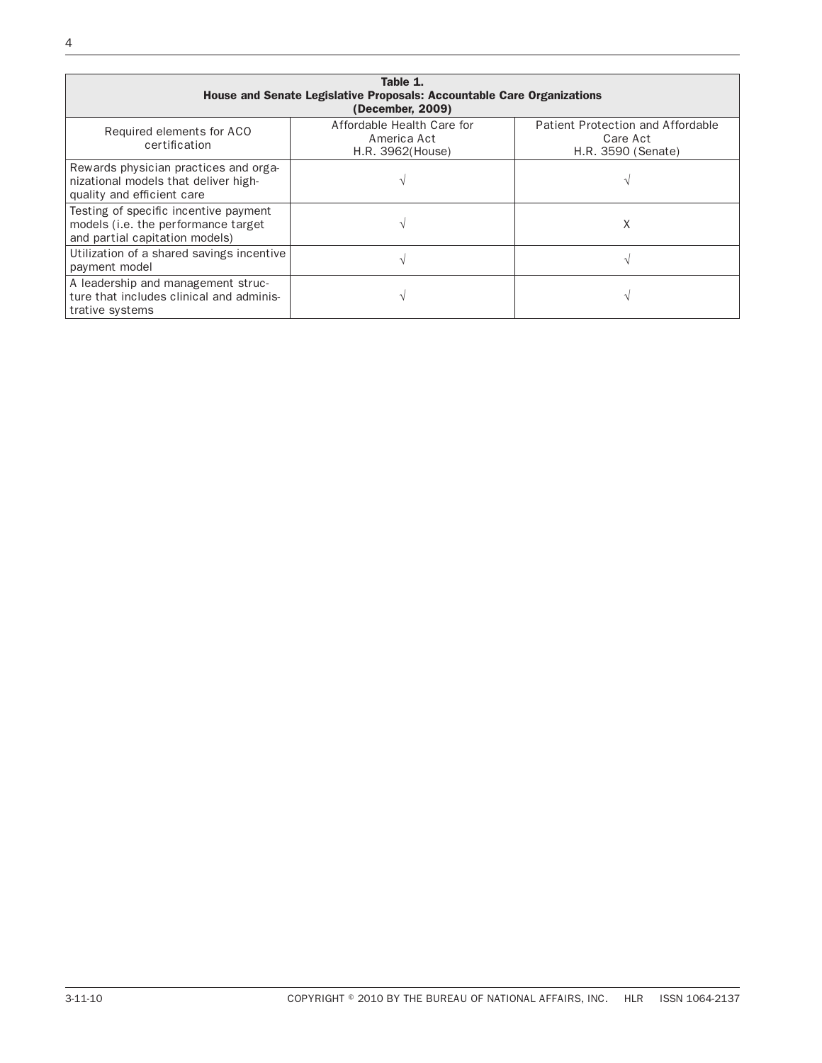| Table 1.<br>House and Senate Legislative Proposals: Accountable Care Organizations<br>(December, 2009)         |                                                               |                                                                     |  |  |  |  |
|----------------------------------------------------------------------------------------------------------------|---------------------------------------------------------------|---------------------------------------------------------------------|--|--|--|--|
| Required elements for ACO<br>certification                                                                     | Affordable Health Care for<br>America Act<br>H.R. 3962(House) | Patient Protection and Affordable<br>Care Act<br>H.R. 3590 (Senate) |  |  |  |  |
| Rewards physician practices and orga-<br>nizational models that deliver high-<br>quality and efficient care    |                                                               |                                                                     |  |  |  |  |
| Testing of specific incentive payment<br>models (i.e. the performance target<br>and partial capitation models) |                                                               | Х                                                                   |  |  |  |  |
| Utilization of a shared savings incentive<br>payment model                                                     |                                                               |                                                                     |  |  |  |  |
| A leadership and management struc-<br>ture that includes clinical and adminis-<br>trative systems              |                                                               |                                                                     |  |  |  |  |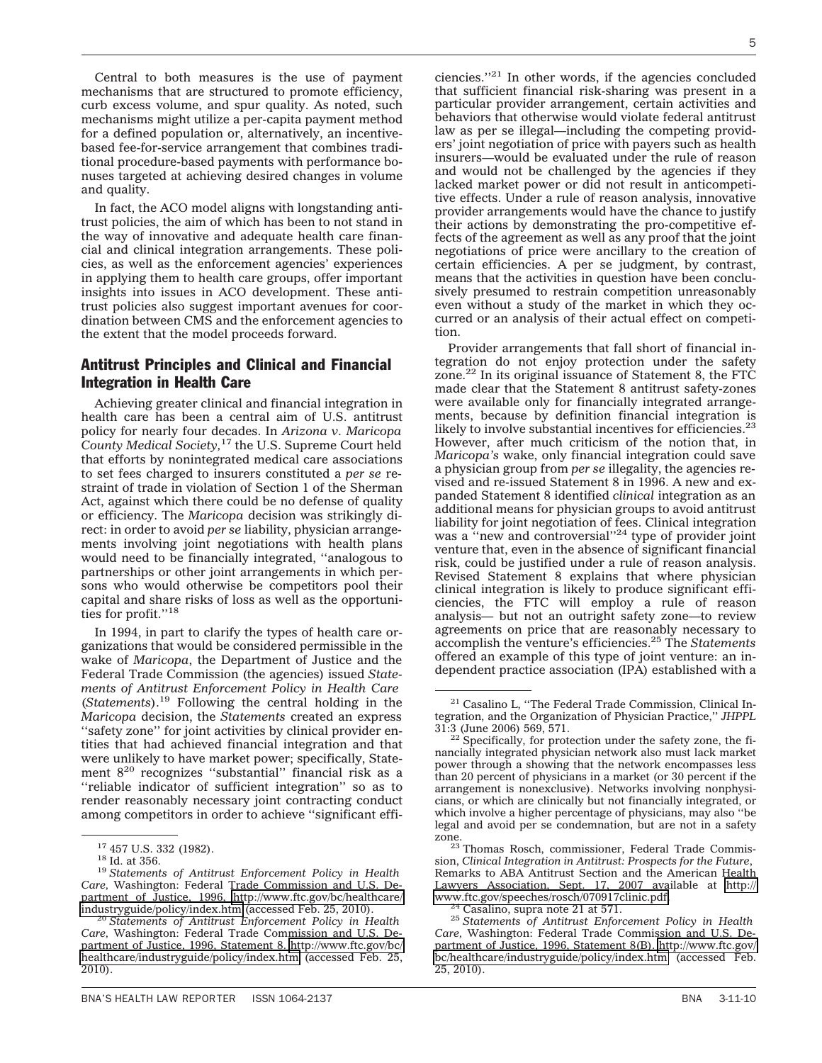Central to both measures is the use of payment mechanisms that are structured to promote efficiency, curb excess volume, and spur quality. As noted, such mechanisms might utilize a per-capita payment method for a defined population or, alternatively, an incentivebased fee-for-service arrangement that combines traditional procedure-based payments with performance bonuses targeted at achieving desired changes in volume and quality.

In fact, the ACO model aligns with longstanding antitrust policies, the aim of which has been to not stand in the way of innovative and adequate health care financial and clinical integration arrangements. These policies, as well as the enforcement agencies' experiences in applying them to health care groups, offer important insights into issues in ACO development. These antitrust policies also suggest important avenues for coordination between CMS and the enforcement agencies to the extent that the model proceeds forward.

# Antitrust Principles and Clinical and Financial Integration in Health Care

Achieving greater clinical and financial integration in health care has been a central aim of U.S. antitrust policy for nearly four decades. In *Arizona v. Maricopa County Medical Society,*<sup>17</sup> the U.S. Supreme Court held that efforts by nonintegrated medical care associations to set fees charged to insurers constituted a *per se* restraint of trade in violation of Section 1 of the Sherman Act, against which there could be no defense of quality or efficiency. The *Maricopa* decision was strikingly direct: in order to avoid *per se* liability, physician arrangements involving joint negotiations with health plans would need to be financially integrated, ''analogous to partnerships or other joint arrangements in which persons who would otherwise be competitors pool their capital and share risks of loss as well as the opportunities for profit."<sup>18</sup>

In 1994, in part to clarify the types of health care organizations that would be considered permissible in the wake of *Maricopa*, the Department of Justice and the Federal Trade Commission (the agencies) issued *Statements of Antitrust Enforcement Policy in Health Care* (*Statements*).19 Following the central holding in the *Maricopa* decision, the *Statements* created an express "safety zone" for joint activities by clinical provider entities that had achieved financial integration and that were unlikely to have market power; specifically, Statement 820 recognizes ''substantial'' financial risk as a ''reliable indicator of sufficient integration'' so as to render reasonably necessary joint contracting conduct among competitors in order to achieve ''significant efficiencies.''21 In other words, if the agencies concluded that sufficient financial risk-sharing was present in a particular provider arrangement, certain activities and behaviors that otherwise would violate federal antitrust law as per se illegal—including the competing providers' joint negotiation of price with payers such as health insurers—would be evaluated under the rule of reason and would not be challenged by the agencies if they lacked market power or did not result in anticompetitive effects. Under a rule of reason analysis, innovative provider arrangements would have the chance to justify their actions by demonstrating the pro-competitive effects of the agreement as well as any proof that the joint negotiations of price were ancillary to the creation of certain efficiencies. A per se judgment, by contrast, means that the activities in question have been conclusively presumed to restrain competition unreasonably even without a study of the market in which they occurred or an analysis of their actual effect on competition.

Provider arrangements that fall short of financial integration do not enjoy protection under the safety zone. $^{22}$  In its original issuance of Statement 8, the FTC made clear that the Statement 8 antitrust safety-zones were available only for financially integrated arrangements, because by definition financial integration is likely to involve substantial incentives for efficiencies.<sup>23</sup> However, after much criticism of the notion that, in *Maricopa's* wake, only financial integration could save a physician group from *per se* illegality, the agencies revised and re-issued Statement 8 in 1996. A new and expanded Statement 8 identified *clinical* integration as an additional means for physician groups to avoid antitrust liability for joint negotiation of fees. Clinical integration was a "new and controversial"<sup>24</sup> type of provider joint venture that, even in the absence of significant financial risk, could be justified under a rule of reason analysis. Revised Statement 8 explains that where physician clinical integration is likely to produce significant efficiencies, the FTC will employ a rule of reason analysis— but not an outright safety zone—to review agreements on price that are reasonably necessary to accomplish the venture's efficiencies.25 The *Statements* offered an example of this type of joint venture: an independent practice association (IPA) established with a

<sup>17</sup> 457 U.S. 332 (1982). <sup>18</sup> Id. at 356. <sup>19</sup> *Statements of Antitrust Enforcement Policy in Health Care,* Washington: Federal Trade Commission and U.S. Department of Justice, 1996, [http://www.ftc.gov/bc/healthcare/](http://www.ftc.gov/bc/healthcare/industryguide/policy/index.htm)<br>industryguide/policy/index.htm (accessed Feb. 25, 2010).

<sup>&</sup>lt;sup>20</sup> Statements of Antitrust Enforcement Policy in Health *Care,* Washington: Federal Trade Commission and U.S. Department of Justice, 1996, Statement 8. [http://www.ftc.gov/bc/](http://www.ftc.gov/bc/healthcare/industryguide/policy/index.htm) [healthcare/industryguide/policy/index.htm](http://www.ftc.gov/bc/healthcare/industryguide/policy/index.htm) (accessed Feb. 25, 2010).

<sup>21</sup> Casalino L, ''The Federal Trade Commission, Clinical Integration, and the Organization of Physician Practice,'' *JHPPL* 31:3 (June 2006) 569, 571. <sup>22</sup> Specifically, for protection under the safety zone, the fi-

nancially integrated physician network also must lack market power through a showing that the network encompasses less than 20 percent of physicians in a market (or 30 percent if the arrangement is nonexclusive). Networks involving nonphysicians, or which are clinically but not financially integrated, or which involve a higher percentage of physicians, may also ''be legal and avoid per se condemnation, but are not in a safety

zone.<br><sup>23</sup> Thomas Rosch, commissioner, Federal Trade Commission, *Clinical Integration in Antitrust: Prospects for the Future*, Remarks to ABA Antitrust Section and the American Health Lawyers Association, Sept. 17, 2007 available at [http://](http://www.ftc.gov/speeches/rosch/070917clinic.pdf)

<sup>&</sup>lt;sup>24</sup> Casalino, supra note 21 at 571.<br><sup>25</sup> Statements of Antitrust Enforcement Policy in Health *Care,* Washington: Federal Trade Commission and U.S. Department of Justice, 1996, Statement 8(B). [http://www.ftc.gov/](http://www.ftc.gov/bc/healthcare/industryguide/policy/index.htm) [bc/healthcare/industryguide/policy/index.htm](http://www.ftc.gov/bc/healthcare/industryguide/policy/index.htm) (accessed Feb. 25, 2010).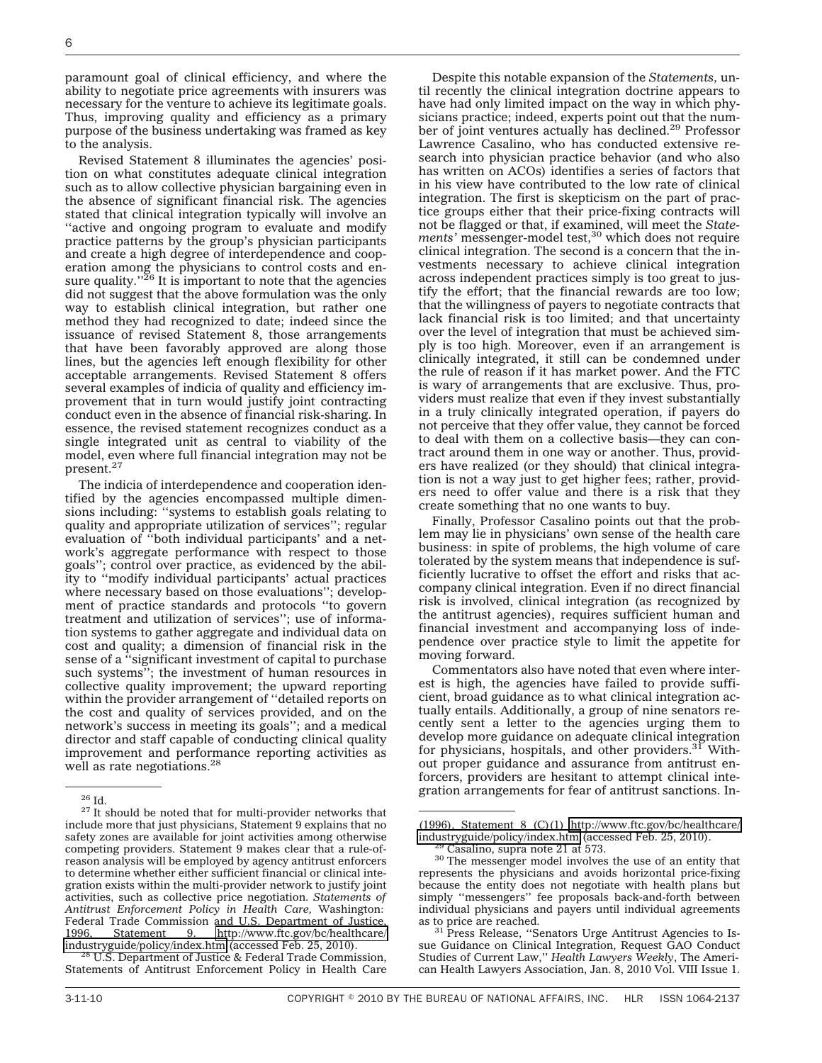paramount goal of clinical efficiency, and where the ability to negotiate price agreements with insurers was necessary for the venture to achieve its legitimate goals. Thus, improving quality and efficiency as a primary purpose of the business undertaking was framed as key to the analysis.

Revised Statement 8 illuminates the agencies' position on what constitutes adequate clinical integration such as to allow collective physician bargaining even in the absence of significant financial risk. The agencies stated that clinical integration typically will involve an ''active and ongoing program to evaluate and modify practice patterns by the group's physician participants and create a high degree of interdependence and cooperation among the physicians to control costs and ensure quality."<sup>26</sup> It is important to note that the agencies did not suggest that the above formulation was the only way to establish clinical integration, but rather one method they had recognized to date; indeed since the issuance of revised Statement 8, those arrangements that have been favorably approved are along those lines, but the agencies left enough flexibility for other acceptable arrangements. Revised Statement 8 offers several examples of indicia of quality and efficiency improvement that in turn would justify joint contracting conduct even in the absence of financial risk-sharing. In essence, the revised statement recognizes conduct as a single integrated unit as central to viability of the model, even where full financial integration may not be present.27

The indicia of interdependence and cooperation identified by the agencies encompassed multiple dimensions including: ''systems to establish goals relating to quality and appropriate utilization of services''; regular evaluation of ''both individual participants' and a network's aggregate performance with respect to those goals''; control over practice, as evidenced by the ability to ''modify individual participants' actual practices where necessary based on those evaluations''; development of practice standards and protocols ''to govern treatment and utilization of services''; use of information systems to gather aggregate and individual data on cost and quality; a dimension of financial risk in the sense of a ''significant investment of capital to purchase such systems''; the investment of human resources in collective quality improvement; the upward reporting within the provider arrangement of ''detailed reports on the cost and quality of services provided, and on the network's success in meeting its goals''; and a medical director and staff capable of conducting clinical quality improvement and performance reporting activities as well as rate negotiations.<sup>28</sup>

gration arrangements for fear of antitrust sanctions. In-<br><sup>26</sup> Id. <sup>27</sup> It should be noted that for multi-provider networks that  $\overline{\phantom{a} \phantom{a}}$ include more that just physicians, Statement 9 explains that no safety zones are available for joint activities among otherwise competing providers. Statement 9 makes clear that a rule-ofreason analysis will be employed by agency antitrust enforcers to determine whether either sufficient financial or clinical integration exists within the multi-provider network to justify joint activities, such as collective price negotiation. *Statements of Antitrust Enforcement Policy in Health Care,* Washington: Federal Trade Commission and U.S. Department of Justice, 1996, Statement 9. [http://www.ftc.gov/bc/healthcare/](http://www.ftc.gov/bc/healthcare/industryguide/policy/index.htm)<br>industryguide/policy/index.htm (accessed Feb. 25, 2010).

<sup>28</sup> U.S. Department of Justice & Federal Trade Commission, Statements of Antitrust Enforcement Policy in Health Care

Despite this notable expansion of the *Statements,* until recently the clinical integration doctrine appears to have had only limited impact on the way in which physicians practice; indeed, experts point out that the number of joint ventures actually has declined.29 Professor Lawrence Casalino, who has conducted extensive research into physician practice behavior (and who also has written on ACOs) identifies a series of factors that in his view have contributed to the low rate of clinical integration. The first is skepticism on the part of practice groups either that their price-fixing contracts will not be flagged or that, if examined, will meet the *Statements'* messenger-model test,<sup>30</sup> which does not require clinical integration. The second is a concern that the investments necessary to achieve clinical integration across independent practices simply is too great to justify the effort; that the financial rewards are too low; that the willingness of payers to negotiate contracts that lack financial risk is too limited; and that uncertainty over the level of integration that must be achieved simply is too high. Moreover, even if an arrangement is clinically integrated, it still can be condemned under the rule of reason if it has market power. And the FTC is wary of arrangements that are exclusive. Thus, providers must realize that even if they invest substantially in a truly clinically integrated operation, if payers do not perceive that they offer value, they cannot be forced to deal with them on a collective basis—they can contract around them in one way or another. Thus, providers have realized (or they should) that clinical integration is not a way just to get higher fees; rather, providers need to offer value and there is a risk that they create something that no one wants to buy.

Finally, Professor Casalino points out that the problem may lie in physicians' own sense of the health care business: in spite of problems, the high volume of care tolerated by the system means that independence is sufficiently lucrative to offset the effort and risks that accompany clinical integration. Even if no direct financial risk is involved, clinical integration (as recognized by the antitrust agencies), requires sufficient human and financial investment and accompanying loss of independence over practice style to limit the appetite for moving forward.

Commentators also have noted that even where interest is high, the agencies have failed to provide sufficient, broad guidance as to what clinical integration actually entails. Additionally, a group of nine senators recently sent a letter to the agencies urging them to develop more guidance on adequate clinical integration for physicians, hospitals, and other providers. $31$  Without proper guidance and assurance from antitrust enforcers, providers are hesitant to attempt clinical inte-

<sup>31</sup> Press Release, "Senators Urge Antitrust Agencies to Issue Guidance on Clinical Integration, Request GAO Conduct Studies of Current Law,'' *Health Lawyers Weekly*, The American Health Lawyers Association, Jan. 8, 2010 Vol. VIII Issue 1.

<sup>(1996),</sup> Statement 8 (C)(1) [http://www.ftc.gov/bc/healthcare/](http://www.ftc.gov/bc/healthcare/industryguide/policy/index.htm) industryguide/policy/index.htm (accessed Feb. 25, 2010).

<sup>&</sup>lt;sup>29</sup> Casalino, supra note 21 at 573.  $\frac{30}{10}$  The messenger model involves the use of an entity that represents the physicians and avoids horizontal price-fixing because the entity does not negotiate with health plans but simply ''messengers'' fee proposals back-and-forth between individual physicians and payers until individual agreements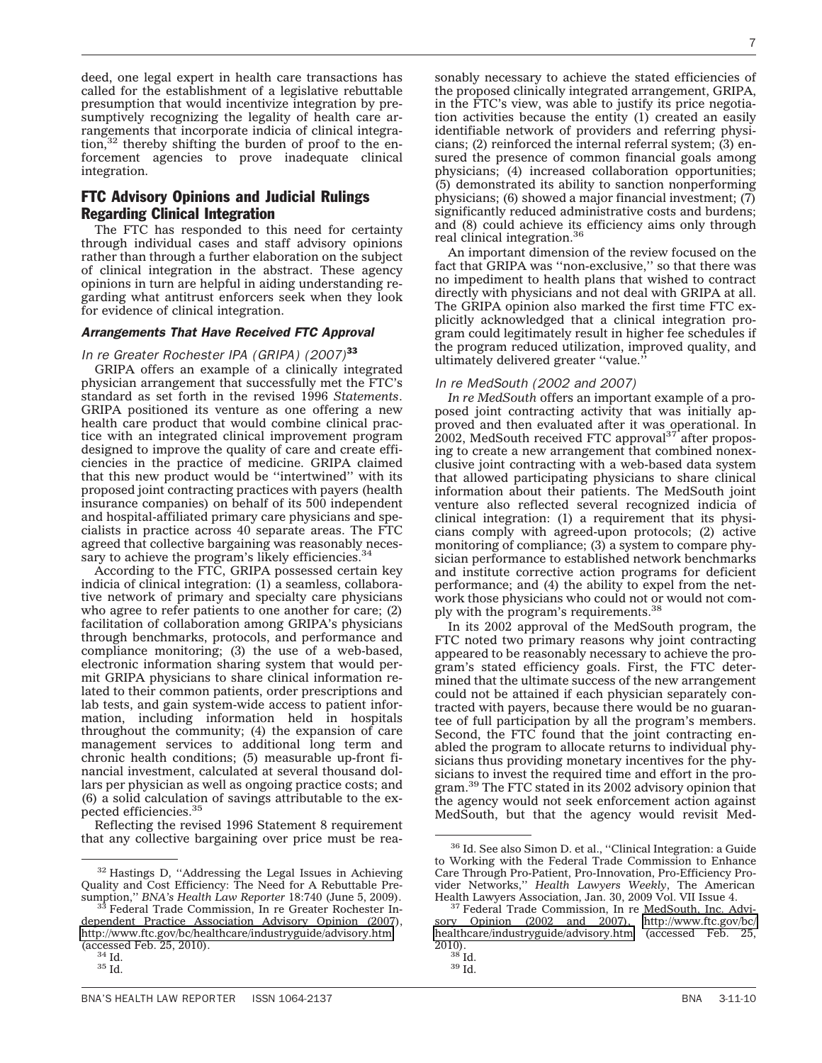deed, one legal expert in health care transactions has called for the establishment of a legislative rebuttable presumption that would incentivize integration by presumptively recognizing the legality of health care arrangements that incorporate indicia of clinical integration, $32$  thereby shifting the burden of proof to the enforcement agencies to prove inadequate clinical integration.

# FTC Advisory Opinions and Judicial Rulings Regarding Clinical Integration

The FTC has responded to this need for certainty through individual cases and staff advisory opinions rather than through a further elaboration on the subject of clinical integration in the abstract. These agency opinions in turn are helpful in aiding understanding regarding what antitrust enforcers seek when they look for evidence of clinical integration.

#### *Arrangements That Have Received FTC Approval*

### *In re Greater Rochester IPA (GRIPA) (2007)*<sup>33</sup>

GRIPA offers an example of a clinically integrated physician arrangement that successfully met the FTC's standard as set forth in the revised 1996 *Statements*. GRIPA positioned its venture as one offering a new health care product that would combine clinical practice with an integrated clinical improvement program designed to improve the quality of care and create efficiencies in the practice of medicine. GRIPA claimed that this new product would be ''intertwined'' with its proposed joint contracting practices with payers (health insurance companies) on behalf of its 500 independent and hospital-affiliated primary care physicians and specialists in practice across 40 separate areas. The FTC agreed that collective bargaining was reasonably necessary to achieve the program's likely efficiencies.<sup>34</sup>

According to the FTC, GRIPA possessed certain key indicia of clinical integration: (1) a seamless, collaborative network of primary and specialty care physicians who agree to refer patients to one another for care; (2) facilitation of collaboration among GRIPA's physicians through benchmarks, protocols, and performance and compliance monitoring; (3) the use of a web-based, electronic information sharing system that would permit GRIPA physicians to share clinical information related to their common patients, order prescriptions and lab tests, and gain system-wide access to patient information, including information held in hospitals throughout the community; (4) the expansion of care management services to additional long term and chronic health conditions; (5) measurable up-front financial investment, calculated at several thousand dollars per physician as well as ongoing practice costs; and (6) a solid calculation of savings attributable to the expected efficiencies.35

Reflecting the revised 1996 Statement 8 requirement that any collective bargaining over price must be rea7

sonably necessary to achieve the stated efficiencies of the proposed clinically integrated arrangement, GRIPA, in the FTC's view, was able to justify its price negotiation activities because the entity (1) created an easily identifiable network of providers and referring physicians; (2) reinforced the internal referral system; (3) ensured the presence of common financial goals among physicians; (4) increased collaboration opportunities; (5) demonstrated its ability to sanction nonperforming physicians; (6) showed a major financial investment; (7) significantly reduced administrative costs and burdens; and (8) could achieve its efficiency aims only through real clinical integration.<sup>36</sup>

An important dimension of the review focused on the fact that GRIPA was ''non-exclusive,'' so that there was no impediment to health plans that wished to contract directly with physicians and not deal with GRIPA at all. The GRIPA opinion also marked the first time FTC explicitly acknowledged that a clinical integration program could legitimately result in higher fee schedules if the program reduced utilization, improved quality, and ultimately delivered greater ''value.''

## *In re MedSouth (2002 and 2007)*

*In re MedSouth* offers an important example of a proposed joint contracting activity that was initially approved and then evaluated after it was operational. In 2002, MedSouth received FTC approval<sup>37</sup> after proposing to create a new arrangement that combined nonexclusive joint contracting with a web-based data system that allowed participating physicians to share clinical information about their patients. The MedSouth joint venture also reflected several recognized indicia of clinical integration: (1) a requirement that its physicians comply with agreed-upon protocols; (2) active monitoring of compliance; (3) a system to compare physician performance to established network benchmarks and institute corrective action programs for deficient performance; and (4) the ability to expel from the network those physicians who could not or would not comply with the program's requirements.<sup>38</sup>

In its 2002 approval of the MedSouth program, the FTC noted two primary reasons why joint contracting appeared to be reasonably necessary to achieve the program's stated efficiency goals. First, the FTC determined that the ultimate success of the new arrangement could not be attained if each physician separately contracted with payers, because there would be no guarantee of full participation by all the program's members. Second, the FTC found that the joint contracting enabled the program to allocate returns to individual physicians thus providing monetary incentives for the physicians to invest the required time and effort in the program.39 The FTC stated in its 2002 advisory opinion that the agency would not seek enforcement action against MedSouth, but that the agency would revisit Med-

<sup>32</sup> Hastings D, ''Addressing the Legal Issues in Achieving Quality and Cost Efficiency: The Need for A Rebuttable Presumption,'' *BNA's Health Law Reporter* 18:740 (June 5, 2009). <sup>33</sup> Federal Trade Commission, In re Greater Rochester In-

dependent Practice Association Advisory Opinion (2007), <http://www.ftc.gov/bc/healthcare/industryguide/advisory.htm> (accessed Feb. 25, 2010).<br> $\frac{34}{35}$  Id.<br> $\frac{35}{16}$ .

<sup>36</sup> Id. See also Simon D. et al., ''Clinical Integration: a Guide to Working with the Federal Trade Commission to Enhance Care Through Pro-Patient, Pro-Innovation, Pro-Efficiency Provider Networks,'' *Health Lawyers Weekly*, The American

<sup>&</sup>lt;sup>37</sup> Federal Trade Commission, In re MedSouth, Inc. Advisory Opinion (2002 and 2007), [http://www.ftc.gov/bc/](http://www.ftc.gov/bc/healthcare/industryguide/advisory.htm) [healthcare/industryguide/advisory.htm](http://www.ftc.gov/bc/healthcare/industryguide/advisory.htm) (accessed Feb. 25,  $\frac{2010}{38}$  Id.<br> $\frac{39}{10}$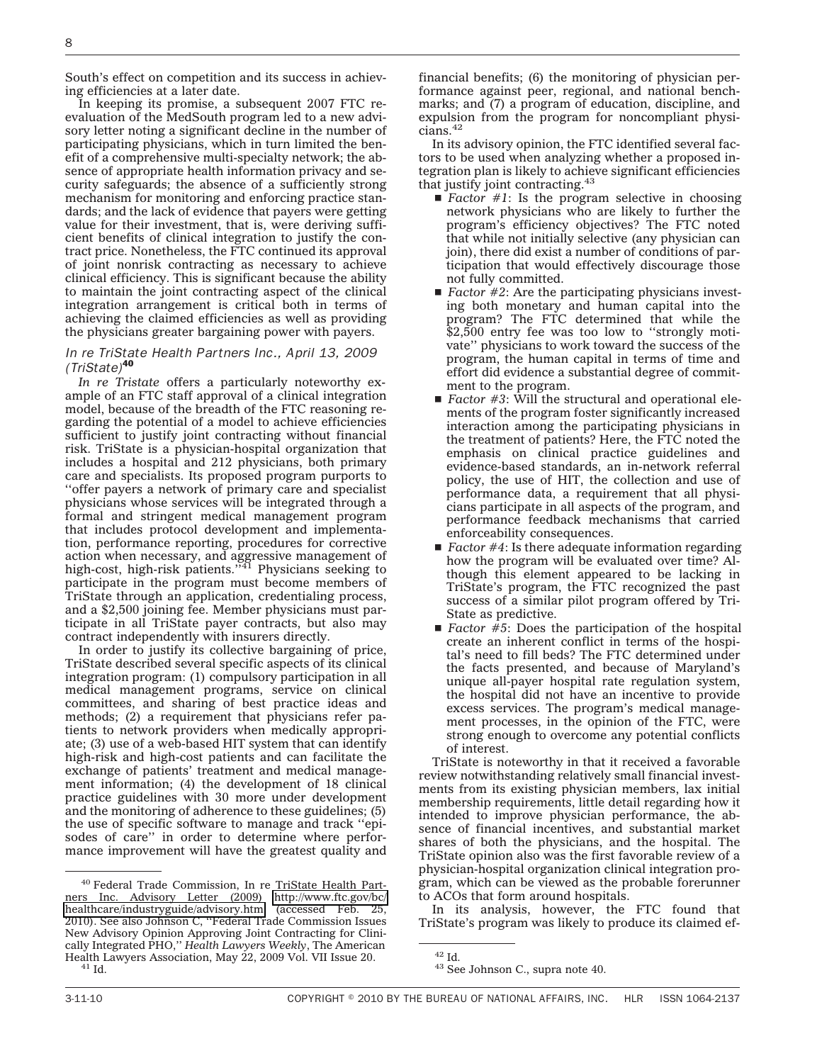South's effect on competition and its success in achieving efficiencies at a later date.

In keeping its promise, a subsequent 2007 FTC reevaluation of the MedSouth program led to a new advisory letter noting a significant decline in the number of participating physicians, which in turn limited the benefit of a comprehensive multi-specialty network; the absence of appropriate health information privacy and security safeguards; the absence of a sufficiently strong mechanism for monitoring and enforcing practice standards; and the lack of evidence that payers were getting value for their investment, that is, were deriving sufficient benefits of clinical integration to justify the contract price. Nonetheless, the FTC continued its approval of joint nonrisk contracting as necessary to achieve clinical efficiency. This is significant because the ability to maintain the joint contracting aspect of the clinical integration arrangement is critical both in terms of achieving the claimed efficiencies as well as providing the physicians greater bargaining power with payers.

#### *In re TriState Health Par tners Inc., April 13, 2009 (TriState)*<sup>40</sup>

*In re Tristate* offers a particularly noteworthy example of an FTC staff approval of a clinical integration model, because of the breadth of the FTC reasoning regarding the potential of a model to achieve efficiencies sufficient to justify joint contracting without financial risk. TriState is a physician-hospital organization that includes a hospital and 212 physicians, both primary care and specialists. Its proposed program purports to ''offer payers a network of primary care and specialist physicians whose services will be integrated through a formal and stringent medical management program that includes protocol development and implementation, performance reporting, procedures for corrective action when necessary, and aggressive management of<br>high-cost, high-risk patients.''<sup>41</sup> Physicians seeking to participate in the program must become members of TriState through an application, credentialing process, and a \$2,500 joining fee. Member physicians must participate in all TriState payer contracts, but also may contract independently with insurers directly.

In order to justify its collective bargaining of price, TriState described several specific aspects of its clinical integration program: (1) compulsory participation in all medical management programs, service on clinical committees, and sharing of best practice ideas and methods; (2) a requirement that physicians refer patients to network providers when medically appropriate; (3) use of a web-based HIT system that can identify high-risk and high-cost patients and can facilitate the exchange of patients' treatment and medical management information; (4) the development of 18 clinical practice guidelines with 30 more under development and the monitoring of adherence to these guidelines; (5) the use of specific software to manage and track ''episodes of care'' in order to determine where performance improvement will have the greatest quality and

financial benefits; (6) the monitoring of physician performance against peer, regional, and national benchmarks; and (7) a program of education, discipline, and expulsion from the program for noncompliant physicians.42

In its advisory opinion, the FTC identified several factors to be used when analyzing whether a proposed integration plan is likely to achieve significant efficiencies that justify joint contracting. $43$ 

- $\blacksquare$  *Factor #1*: Is the program selective in choosing network physicians who are likely to further the program's efficiency objectives? The FTC noted that while not initially selective (any physician can join), there did exist a number of conditions of participation that would effectively discourage those not fully committed.
- $\blacksquare$  *Factor #2*: Are the participating physicians investing both monetary and human capital into the program? The FTC determined that while the \$2,500 entry fee was too low to "strongly motivate'' physicians to work toward the success of the program, the human capital in terms of time and effort did evidence a substantial degree of commitment to the program.
- *Factor #3*: Will the structural and operational elements of the program foster significantly increased interaction among the participating physicians in the treatment of patients? Here, the FTC noted the emphasis on clinical practice guidelines and evidence-based standards, an in-network referral policy, the use of HIT, the collection and use of performance data, a requirement that all physicians participate in all aspects of the program, and performance feedback mechanisms that carried enforceability consequences.
- $\blacksquare$  *Factor #4*: Is there adequate information regarding how the program will be evaluated over time? Although this element appeared to be lacking in TriState's program, the FTC recognized the past success of a similar pilot program offered by Tri-State as predictive.
- $\blacksquare$  *Factor #5*: Does the participation of the hospital create an inherent conflict in terms of the hospital's need to fill beds? The FTC determined under the facts presented, and because of Maryland's unique all-payer hospital rate regulation system, the hospital did not have an incentive to provide excess services. The program's medical management processes, in the opinion of the FTC, were strong enough to overcome any potential conflicts of interest.

TriState is noteworthy in that it received a favorable review notwithstanding relatively small financial investments from its existing physician members, lax initial membership requirements, little detail regarding how it intended to improve physician performance, the absence of financial incentives, and substantial market shares of both the physicians, and the hospital. The TriState opinion also was the first favorable review of a physician-hospital organization clinical integration program, which can be viewed as the probable forerunner to ACOs that form around hospitals.

In its analysis, however, the FTC found that TriState's program was likely to produce its claimed ef-

<sup>40</sup> Federal Trade Commission, In re TriState Health Partners Inc. Advisory Letter (2009) [http://www.ftc.gov/bc/](http://www.ftc.gov/bc/healthcare/industryguide/advisory.htm) [healthcare/industryguide/advisory.htm](http://www.ftc.gov/bc/healthcare/industryguide/advisory.htm) (accessed Feb. 25, 2010). See also Johnson C, ''Federal Trade Commission Issues New Advisory Opinion Approving Joint Contracting for Clinically Integrated PHO,'' *Health Lawyers Weekly*, The American Health Lawyers Association, May 22, 2009 Vol. VII Issue 20. <sup>41</sup> Id.

 $42$  Id.<br> $43$  See Johnson C., supra note 40.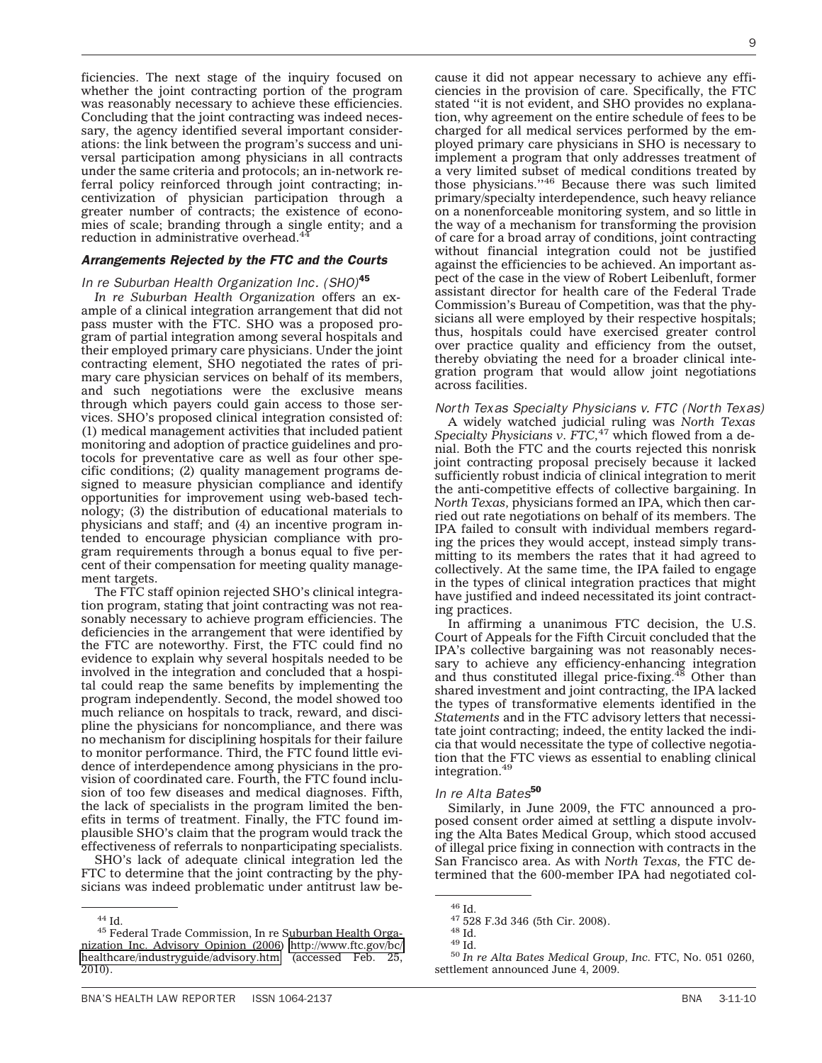ficiencies. The next stage of the inquiry focused on whether the joint contracting portion of the program was reasonably necessary to achieve these efficiencies. Concluding that the joint contracting was indeed necessary, the agency identified several important considerations: the link between the program's success and universal participation among physicians in all contracts under the same criteria and protocols; an in-network referral policy reinforced through joint contracting; incentivization of physician participation through a greater number of contracts; the existence of economies of scale; branding through a single entity; and a reduction in administrative overhead.<sup>44</sup>

#### *Arrangements Rejected by the FTC and the Courts*

#### *In re Suburban Health Organization Inc. (SHO)*<sup>45</sup>

*In re Suburban Health Organization* offers an example of a clinical integration arrangement that did not pass muster with the FTC. SHO was a proposed program of partial integration among several hospitals and their employed primary care physicians. Under the joint contracting element, SHO negotiated the rates of primary care physician services on behalf of its members, and such negotiations were the exclusive means through which payers could gain access to those services. SHO's proposed clinical integration consisted of: (1) medical management activities that included patient monitoring and adoption of practice guidelines and protocols for preventative care as well as four other specific conditions; (2) quality management programs designed to measure physician compliance and identify opportunities for improvement using web-based technology; (3) the distribution of educational materials to physicians and staff; and (4) an incentive program intended to encourage physician compliance with program requirements through a bonus equal to five percent of their compensation for meeting quality management targets.

The FTC staff opinion rejected SHO's clinical integration program, stating that joint contracting was not reasonably necessary to achieve program efficiencies. The deficiencies in the arrangement that were identified by the FTC are noteworthy. First, the FTC could find no evidence to explain why several hospitals needed to be involved in the integration and concluded that a hospital could reap the same benefits by implementing the program independently. Second, the model showed too much reliance on hospitals to track, reward, and discipline the physicians for noncompliance, and there was no mechanism for disciplining hospitals for their failure to monitor performance. Third, the FTC found little evidence of interdependence among physicians in the provision of coordinated care. Fourth, the FTC found inclusion of too few diseases and medical diagnoses. Fifth, the lack of specialists in the program limited the benefits in terms of treatment. Finally, the FTC found implausible SHO's claim that the program would track the effectiveness of referrals to nonparticipating specialists.

SHO's lack of adequate clinical integration led the FTC to determine that the joint contracting by the physicians was indeed problematic under antitrust law be-

cause it did not appear necessary to achieve any efficiencies in the provision of care. Specifically, the FTC stated ''it is not evident, and SHO provides no explanation, why agreement on the entire schedule of fees to be charged for all medical services performed by the employed primary care physicians in SHO is necessary to implement a program that only addresses treatment of a very limited subset of medical conditions treated by those physicians.''46 Because there was such limited primary/specialty interdependence, such heavy reliance on a nonenforceable monitoring system, and so little in the way of a mechanism for transforming the provision of care for a broad array of conditions, joint contracting without financial integration could not be justified against the efficiencies to be achieved. An important aspect of the case in the view of Robert Leibenluft, former assistant director for health care of the Federal Trade Commission's Bureau of Competition, was that the physicians all were employed by their respective hospitals; thus, hospitals could have exercised greater control over practice quality and efficiency from the outset, thereby obviating the need for a broader clinical integration program that would allow joint negotiations across facilities.

#### *North Texas Specialty Physicians v. FTC (North Texas)*

A widely watched judicial ruling was *North Texas Specialty Physicians v. FTC,*<sup>47</sup> which flowed from a denial. Both the FTC and the courts rejected this nonrisk joint contracting proposal precisely because it lacked sufficiently robust indicia of clinical integration to merit the anti-competitive effects of collective bargaining. In *North Texas,* physicians formed an IPA, which then carried out rate negotiations on behalf of its members. The IPA failed to consult with individual members regarding the prices they would accept, instead simply transmitting to its members the rates that it had agreed to collectively. At the same time, the IPA failed to engage in the types of clinical integration practices that might have justified and indeed necessitated its joint contracting practices.

In affirming a unanimous FTC decision, the U.S. Court of Appeals for the Fifth Circuit concluded that the IPA's collective bargaining was not reasonably necessary to achieve any efficiency-enhancing integration and thus constituted illegal price-fixing.<sup>48</sup> Other than shared investment and joint contracting, the IPA lacked the types of transformative elements identified in the *Statements* and in the FTC advisory letters that necessitate joint contracting; indeed, the entity lacked the indicia that would necessitate the type of collective negotiation that the FTC views as essential to enabling clinical integration.49

## *In re Alta Bates*<sup>50</sup>

Similarly, in June 2009, the FTC announced a proposed consent order aimed at settling a dispute involving the Alta Bates Medical Group, which stood accused of illegal price fixing in connection with contracts in the San Francisco area. As with *North Texas,* the FTC determined that the 600-member IPA had negotiated col-

 $^{\rm 44}$ Id.  $^{\rm 45}$  Federal Trade Commission, In re Suburban Health Organization Inc. Advisory Opinion (2006) [http://www.ftc.gov/bc/](http://www.ftc.gov/bc/healthcare/industryguide/advisory.htm) [healthcare/industryguide/advisory.htm](http://www.ftc.gov/bc/healthcare/industryguide/advisory.htm) (accessed Feb. 25, 2010).

<sup>&</sup>lt;sup>46</sup> Id.<br><sup>47</sup> 528 F.3d 346 (5th Cir. 2008).<br><sup>48</sup> Id.<br><sup>50</sup> In re Alta Bates Medical Group, Inc. FTC, No. 051 0260, settlement announced June 4, 2009.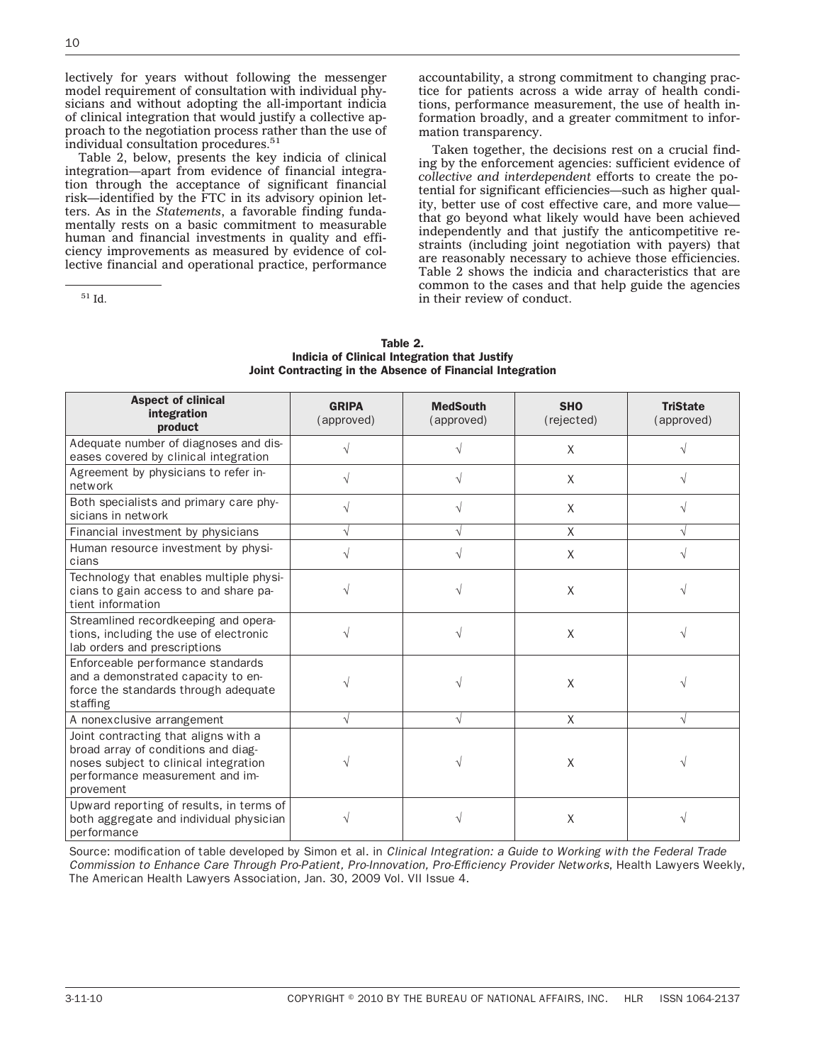lectively for years without following the messenger model requirement of consultation with individual physicians and without adopting the all-important indicia of clinical integration that would justify a collective approach to the negotiation process rather than the use of individual consultation procedures.<sup>51</sup>

Table 2, below, presents the key indicia of clinical integration—apart from evidence of financial integration through the acceptance of significant financial risk—identified by the FTC in its advisory opinion letters. As in the *Statements*, a favorable finding fundamentally rests on a basic commitment to measurable human and financial investments in quality and efficiency improvements as measured by evidence of collective financial and operational practice, performance

<sup>51</sup> Id.

accountability, a strong commitment to changing practice for patients across a wide array of health conditions, performance measurement, the use of health information broadly, and a greater commitment to information transparency.

Taken together, the decisions rest on a crucial finding by the enforcement agencies: sufficient evidence of *collective and interdependent* efforts to create the potential for significant efficiencies—such as higher quality, better use of cost effective care, and more value that go beyond what likely would have been achieved independently and that justify the anticompetitive restraints (including joint negotiation with payers) that are reasonably necessary to achieve those efficiencies. Table 2 shows the indicia and characteristics that are common to the cases and that help guide the agencies in their review of conduct.

| TAUIC Z.                                                  |  |  |  |
|-----------------------------------------------------------|--|--|--|
| Indicia of Clinical Integration that Justify              |  |  |  |
| Joint Contracting in the Absence of Financial Integration |  |  |  |
|                                                           |  |  |  |

Table 2

| <b>Aspect of clinical</b><br>integration<br>product                                                                                                                  | <b>GRIPA</b><br>(approved) | <b>MedSouth</b><br>(approved) | <b>SHO</b><br>(rejected) | <b>TriState</b><br>(approved) |
|----------------------------------------------------------------------------------------------------------------------------------------------------------------------|----------------------------|-------------------------------|--------------------------|-------------------------------|
| Adequate number of diagnoses and dis-<br>eases covered by clinical integration                                                                                       |                            |                               | X                        |                               |
| Agreement by physicians to refer in-<br>network                                                                                                                      | V                          |                               | X                        | V                             |
| Both specialists and primary care phy-<br>sicians in network                                                                                                         |                            |                               | Χ                        |                               |
| Financial investment by physicians                                                                                                                                   |                            |                               | X                        |                               |
| Human resource investment by physi-<br>cians                                                                                                                         |                            |                               | X                        |                               |
| Technology that enables multiple physi-<br>cians to gain access to and share pa-<br>tient information                                                                |                            |                               | X                        |                               |
| Streamlined recordkeeping and opera-<br>tions, including the use of electronic<br>lab orders and prescriptions                                                       |                            |                               | X                        |                               |
| Enforceable performance standards<br>and a demonstrated capacity to en-<br>force the standards through adequate<br>staffing                                          |                            |                               | X                        |                               |
| A nonexclusive arrangement                                                                                                                                           | V                          | V                             | X                        | V                             |
| Joint contracting that aligns with a<br>broad array of conditions and diag-<br>noses subject to clinical integration<br>performance measurement and im-<br>provement |                            |                               | X                        |                               |
| Upward reporting of results, in terms of<br>both aggregate and individual physician<br>performance                                                                   |                            |                               | X                        |                               |

Source: modification of table developed by Simon et al. in *Clinical Integration: a Guide to Working with the Federal Trade Commission to Enhance Care Through Pro-Patient, Pro-Innovation, Pro-Efficiency Provider Networks*, Health Lawyers Weekly, The American Health Lawyers Association, Jan. 30, 2009 Vol. VII Issue 4.